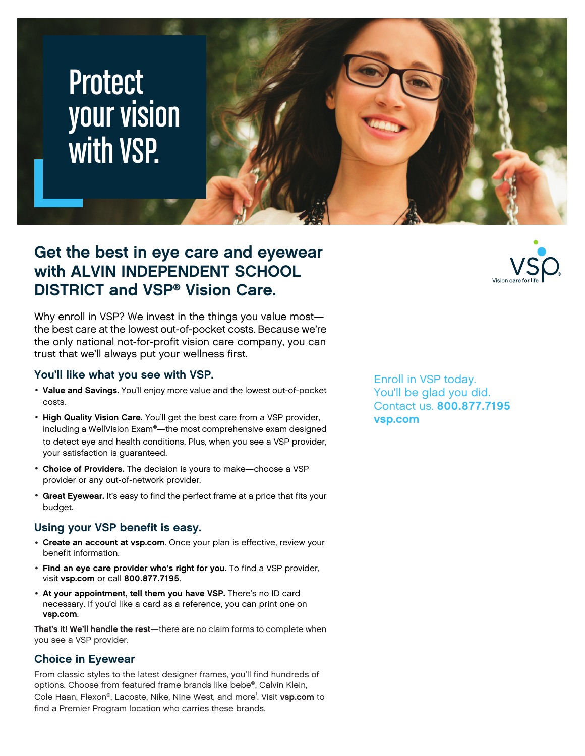# **Protect** your vision with VSP.

### **Get the best in eye care and eyewear with ALVIN INDEPENDENT SCHOOL DISTRICT and VSP® Vision Care.**

Why enroll in VSP? We invest in the things you value most the best care at the lowest out-of-pocket costs. Because we're the only national not-for-profit vision care company, you can trust that we'll always put your wellness first.

#### **You'll like what you see with VSP.**

- **Value and Savings.** You'll enjoy more value and the lowest out-of-pocket costs.
- **High Quality Vision Care.** You'll get the best care from a VSP provider, including a WellVision Exam®—the most comprehensive exam designed to detect eye and health conditions. Plus, when you see a VSP provider, your satisfaction is guaranteed.
- **Choice of Providers.** The decision is yours to make—choose a VSP provider or any out-of-network provider.
- **Great Eyewear.** It's easy to find the perfect frame at a price that fits your budget.

#### **Using your VSP benefit is easy.**

- **Create an account at [vsp.com](www.vsp.com)**. Once your plan is effective, review your benefit information.
- **Find an eye care provider who's right for you.** To find a VSP provider, visit **[vsp.com](www.vsp.com)** or call **800.877.7195**.
- **At your appointment, tell them you have VSP.** There's no ID card necessary. If you'd like a card as a reference, you can print one on **[vsp.com](www.vsp.com)**.

**That's it! We'll handle the rest**—there are no claim forms to complete when you see a VSP provider.

#### **Choice in Eyewear**

From classic styles to the latest designer frames, you'll find hundreds of options. Choose from featured frame brands like bebe®, Calvin Klein, Cole Haan, Flexon®, Lacoste, Nike, Nine West, and more<sup>1</sup>. Visit [vsp.com](www.vsp.com) to find a Premier Program location who carries these brands.

Enroll in VSP today. You'll be glad you did. Contact us. **800.877.7195 [vsp.com](http://www.vsp.com)**